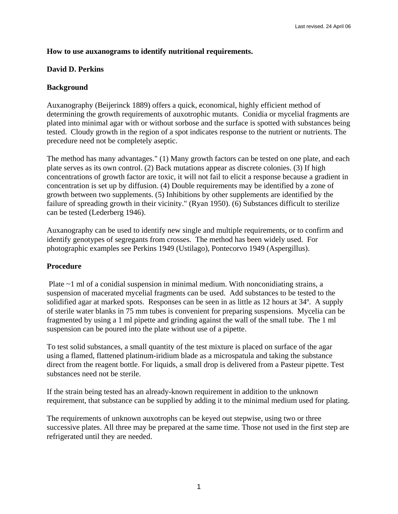## **How to use auxanograms to identify nutritional requirements.**

## **David D. Perkins**

## **Background**

Auxanography (Beijerinck 1889) offers a quick, economical, highly efficient method of determining the growth requirements of auxotrophic mutants. Conidia or mycelial fragments are plated into minimal agar with or without sorbose and the surface is spotted with substances being tested. Cloudy growth in the region of a spot indicates response to the nutrient or nutrients. The precedure need not be completely aseptic.

The method has many advantages." (1) Many growth factors can be tested on one plate, and each plate serves as its own control. (2) Back mutations appear as discrete colonies. (3) If high concentrations of growth factor are toxic, it will not fail to elicit a response because a gradient in concentration is set up by diffusion. (4) Double requirements may be identified by a zone of growth between two supplements. (5) Inhibitions by other supplements are identified by the failure of spreading growth in their vicinity." (Ryan 1950). (6) Substances difficult to sterilize can be tested (Lederberg 1946).

Auxanography can be used to identify new single and multiple requirements, or to confirm and identify genotypes of segregants from crosses. The method has been widely used. For photographic examples see Perkins 1949 (Ustilago), Pontecorvo 1949 (Aspergillus).

#### **Procedure**

Plate  $\sim$ 1 ml of a conidial suspension in minimal medium. With nonconidiating strains, a suspension of macerated mycelial fragments can be used. Add substances to be tested to the solidified agar at marked spots. Responses can be seen in as little as 12 hours at 34º. A supply of sterile water blanks in 75 mm tubes is convenient for preparing suspensions. Mycelia can be fragmented by using a 1 ml pipette and grinding against the wall of the small tube. The 1 ml suspension can be poured into the plate without use of a pipette.

To test solid substances, a small quantity of the test mixture is placed on surface of the agar using a flamed, flattened platinum-iridium blade as a microspatula and taking the substance direct from the reagent bottle. For liquids, a small drop is delivered from a Pasteur pipette. Test substances need not be sterile.

If the strain being tested has an already-known requirement in addition to the unknown requirement, that substance can be supplied by adding it to the minimal medium used for plating.

The requirements of unknown auxotrophs can be keyed out stepwise, using two or three successive plates. All three may be prepared at the same time. Those not used in the first step are refrigerated until they are needed.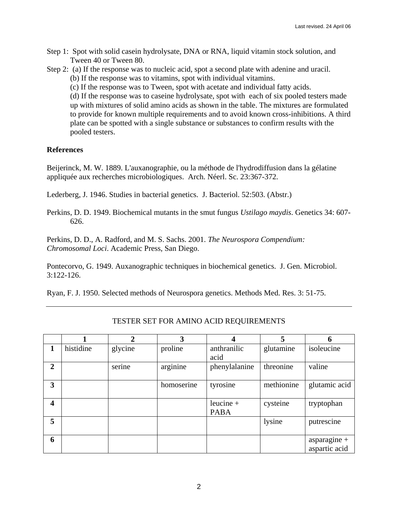- Step 1: Spot with solid casein hydrolysate, DNA or RNA, liquid vitamin stock solution, and Tween 40 or Tween 80.
- Step 2: (a) If the response was to nucleic acid, spot a second plate with adenine and uracil. (b) If the response was to vitamins, spot with individual vitamins.
	- (c) If the response was to Tween, spot with acetate and individual fatty acids.

(d) If the response was to caseine hydrolysate, spot with each of six pooled testers made up with mixtures of solid amino acids as shown in the table. The mixtures are formulated to provide for known multiple requirements and to avoid known cross-inhibitions. A third plate can be spotted with a single substance or substances to confirm results with the pooled testers.

## **References**

Beijerinck, M. W. 1889. L'auxanographie, ou la méthode de l'hydrodiffusion dans la gélatine appliquée aux recherches microbiologiques. Arch. Néerl. Sc. 23:367-372.

Lederberg, J. 1946. Studies in bacterial genetics. J. Bacteriol. 52:503. (Abstr.)

Perkins, D. D. 1949. Biochemical mutants in the smut fungus *Ustilago maydis*. Genetics 34: 607- 626.

Perkins, D. D., A. Radford, and M. S. Sachs. 2001. *The Neurospora Compendium: Chromosomal Loci*. Academic Press, San Diego.

Pontecorvo, G. 1949. Auxanographic techniques in biochemical genetics. J. Gen. Microbiol. 3:122-126.

Ryan, F. J. 1950. Selected methods of Neurospora genetics. Methods Med. Res. 3: 51-75.

|                |           | $\mathbf 2$ | 3          | 4                          | 5          | 6                               |
|----------------|-----------|-------------|------------|----------------------------|------------|---------------------------------|
| 1              | histidine | glycine     | proline    | anthranilic<br>acid        | glutamine  | isoleucine                      |
| $\overline{2}$ |           | serine      | arginine   | phenylalanine              | threonine  | valine                          |
| 3              |           |             | homoserine | tyrosine                   | methionine | glutamic acid                   |
| 4              |           |             |            | leucine $+$<br><b>PABA</b> | cysteine   | tryptophan                      |
| 5              |           |             |            |                            | lysine     | putrescine                      |
| 6              |           |             |            |                            |            | asparagine $+$<br>aspartic acid |

# TESTER SET FOR AMINO ACID REQUIREMENTS